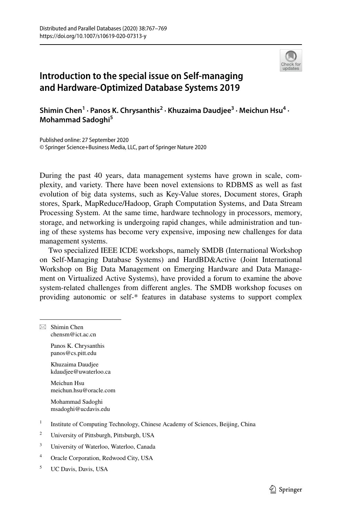

## **Introduction to the special issue on Self‑managing and Hardware‑Optimized Database Systems 2019**

**Shimin Chen1 · Panos K. Chrysanthis<sup>2</sup> · Khuzaima Daudjee3 · Meichun Hsu4 · Mohammad Sadoghi5**

Published online: 27 September 2020 © Springer Science+Business Media, LLC, part of Springer Nature 2020

During the past 40 years, data management systems have grown in scale, complexity, and variety. There have been novel extensions to RDBMS as well as fast evolution of big data systems, such as Key-Value stores, Document stores, Graph stores, Spark, MapReduce/Hadoop, Graph Computation Systems, and Data Stream Processing System. At the same time, hardware technology in processors, memory, storage, and networking is undergoing rapid changes, while administration and tuning of these systems has become very expensive, imposing new challenges for data management systems.

Two specialized IEEE ICDE workshops, namely SMDB (International Workshop on Self-Managing Database Systems) and HardBD&Active (Joint International Workshop on Big Data Management on Emerging Hardware and Data Management on Virtualized Active Systems), have provided a forum to examine the above system-related challenges from diferent angles. The SMDB workshop focuses on providing autonomic or self-\* features in database systems to support complex

 $\boxtimes$  Shimin Chen chensm@ict.ac.cn Panos K. Chrysanthis panos@cs.pitt.edu Khuzaima Daudjee kdaudjee@uwaterloo.ca Meichun Hsu meichun.hsu@oracle.com Mohammad Sadoghi msadoghi@ucdavis.edu <sup>1</sup> Institute of Computing Technology, Chinese Academy of Sciences, Beijing, China <sup>2</sup> University of Pittsburgh, Pittsburgh, USA <sup>3</sup> University of Waterloo, Waterloo, Canada <sup>4</sup> Oracle Corporation, Redwood City, USA <sup>5</sup> UC Davis, Davis, USA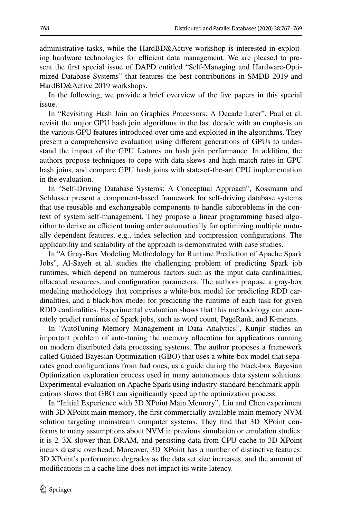administrative tasks, while the HardBD&Active workshop is interested in exploiting hardware technologies for efficient data management. We are pleased to present the frst special issue of DAPD entitled "Self-Managing and Hardware-Optimized Database Systems" that features the best contributions in SMDB 2019 and HardBD&Active 2019 workshops.

In the following, we provide a brief overview of the fve papers in this special issue.

In "Revisiting Hash Join on Graphics Processors: A Decade Later", Paul et al. revisit the major GPU hash join algorithms in the last decade with an emphasis on the various GPU features introduced over time and exploited in the algorithms. They present a comprehensive evaluation using diferent generations of GPUs to understand the impact of the GPU features on hash join performance. In addition, the authors propose techniques to cope with data skews and high match rates in GPU hash joins, and compare GPU hash joins with state-of-the-art CPU implementation in the evaluation.

In "Self-Driving Database Systems: A Conceptual Approach", Kossmann and Schlosser present a component-based framework for self-driving database systems that use reusable and exchangeable components to handle subproblems in the context of system self-management. They propose a linear programming based algorithm to derive an efficient tuning order automatically for optimizing multiple mutually dependent features, e.g., index selection and compression confgurations. The applicability and scalability of the approach is demonstrated with case studies.

In "A Gray-Box Modeling Methodology for Runtime Prediction of Apache Spark Jobs", Al-Sayeh et al. studies the challenging problem of predicting Spark job runtimes, which depend on numerous factors such as the input data cardinalities, allocated resources, and confguration parameters. The authors propose a gray-box modeling methodology that comprises a white-box model for predicting RDD cardinalities, and a black-box model for predicting the runtime of each task for given RDD cardinalities. Experimental evaluation shows that this methodology can accurately predict runtimes of Spark jobs, such as word count, PageRank, and K-means.

In "AutoTuning Memory Management in Data Analytics", Kunjir studies an important problem of auto-tuning the memory allocation for applications running on modern distributed data processing systems. The author proposes a framework called Guided Bayesian Optimization (GBO) that uses a white-box model that separates good confgurations from bad ones, as a guide during the black-box Bayesian Optimization exploration process used in many autonomous data system solutions. Experimental evaluation on Apache Spark using industry-standard benchmark applications shows that GBO can signifcantly speed up the optimization process.

In "Initial Experience with 3D XPoint Main Memory", Liu and Chen experiment with 3D XPoint main memory, the frst commercially available main memory NVM solution targeting mainstream computer systems. They fnd that 3D XPoint conforms to many assumptions about NVM in previous simulation or emulation studies: it is 2–3X slower than DRAM, and persisting data from CPU cache to 3D XPoint incurs drastic overhead. Moreover, 3D XPoint has a number of distinctive features: 3D XPoint's performance degrades as the data set size increases, and the amount of modifcations in a cache line does not impact its write latency.